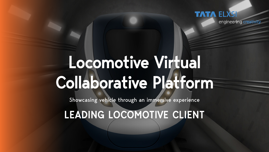

engineering creativity

# Locomotive Virtual Collaborative Platform

Showcasing vehicle through an immersive experience

LEADING LOCOMOTIVE CLIENT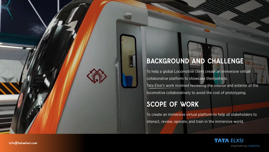### BACKGROUND AND CHALLENGE

To help a global Locomotive client create an immersive virtual collaborative platform to showcase their vehicle. Tata Elxsi's work involved reviewing the interior and exterior of the locomotive collaboratively to avoid the cost of prototyping.

#### SCOPE OF WORK

To create an immersive virtual platform to help all stakeholders to interact, review, operate, and train in the immersive world.



[info@tataelxsi.com](mailto:info@tataelxsi.com)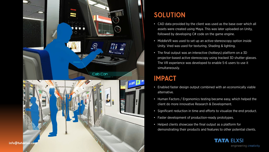

#### SOLUTION

- CAD data provided by the client was used as the base over which all assets were created using Maya. This was later uploaded on Unity, followed by developing C# code on the game engine.
- MiddleVR was used to set up an active-stereoscopy option inside Unity. Vred was used for texturing, Shading & lighting.
- The final output was an interactive (hotkeys) platform on a 3D projector-based active stereoscopy using tracked 3D shutter glasses. The VR experience was developed to enable 5-6 users to use it simultaneously.

## IMPACT

- Enabled faster design output combined with an economically viable alternative.
- Human Factors / Ergonomics testing became easy, which helped the client do more innovative Research & Development.
- Significant reduction in time and efforts to visualize the end product.
- Faster development of production-ready prototypes.
- Helped clients showcase the final output as a platform for demonstrating their products and features to other potential clients.



engineering creativity